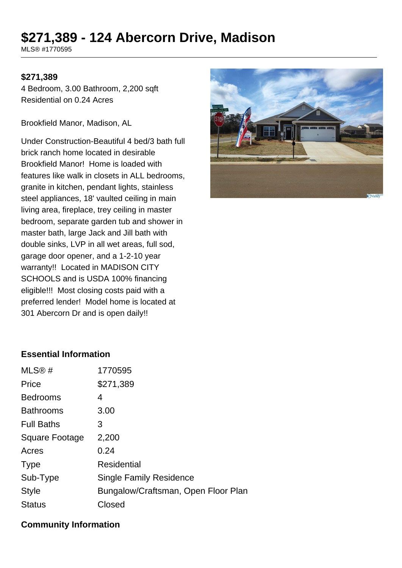# **\$271,389 - 124 Abercorn Drive, Madison**

MLS® #1770595

#### **\$271,389**

4 Bedroom, 3.00 Bathroom, 2,200 sqft Residential on 0.24 Acres

Brookfield Manor, Madison, AL

Under Construction-Beautiful 4 bed/3 bath full brick ranch home located in desirable Brookfield Manor! Home is loaded with features like walk in closets in ALL bedrooms, granite in kitchen, pendant lights, stainless steel appliances, 18' vaulted ceiling in main living area, fireplace, trey ceiling in master bedroom, separate garden tub and shower in master bath, large Jack and Jill bath with double sinks, LVP in all wet areas, full sod, garage door opener, and a 1-2-10 year warranty!! Located in MADISON CITY SCHOOLS and is USDA 100% financing eligible!!! Most closing costs paid with a preferred lender! Model home is located at 301 Abercorn Dr and is open daily!!



## **Essential Information**

| MLS@#             | 1770595                             |
|-------------------|-------------------------------------|
| Price             | \$271,389                           |
| <b>Bedrooms</b>   | 4                                   |
| <b>Bathrooms</b>  | 3.00                                |
| <b>Full Baths</b> | 3                                   |
| Square Footage    | 2,200                               |
| Acres             | 0.24                                |
| <b>Type</b>       | <b>Residential</b>                  |
| Sub-Type          | <b>Single Family Residence</b>      |
| <b>Style</b>      | Bungalow/Craftsman, Open Floor Plan |
| <b>Status</b>     | Closed                              |
|                   |                                     |

#### **Community Information**